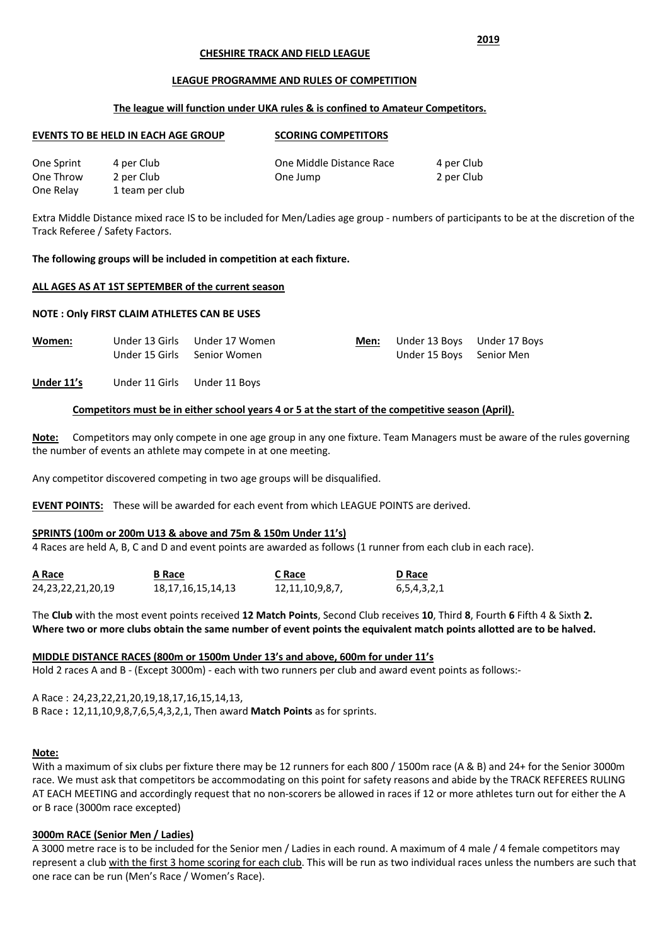### **CHESHIRE TRACK AND FIELD LEAGUE**

#### **LEAGUE PROGRAMME AND RULES OF COMPETITION**

### **The league will function under UKA rules & is confined to Amateur Competitors.**

| <b>EVENTS TO BE HELD IN EACH AGE GROUP</b> |                 | <b>SCORING COMPETITORS</b> |            |  |
|--------------------------------------------|-----------------|----------------------------|------------|--|
| One Sprint                                 | 4 per Club      | One Middle Distance Race   | 4 per Club |  |
| One Throw                                  | 2 per Club      | One Jump                   | 2 per Club |  |
| One Relay                                  | 1 team per club |                            |            |  |

Extra Middle Distance mixed race IS to be included for Men/Ladies age group - numbers of participants to be at the discretion of the Track Referee / Safety Factors.

#### **The following groups will be included in competition at each fixture.**

#### **ALL AGES AS AT 1ST SEPTEMBER of the current season**

#### **NOTE : Only FIRST CLAIM ATHLETES CAN BE USES**

| Women: |                             | Under 13 Girls Under 17 Women | Men: | Under 13 Boys Under 17 Boys |  |
|--------|-----------------------------|-------------------------------|------|-----------------------------|--|
|        | Under 15 Girls Senior Women |                               |      | Under 15 Boys Senior Men    |  |
|        |                             |                               |      |                             |  |

## **Under 11's** Under 11 Girls Under 11 Boys

### **Competitors must be in either school years 4 or 5 at the start of the competitive season (April).**

**Note:** Competitors may only compete in one age group in any one fixture. Team Managers must be aware of the rules governing the number of events an athlete may compete in at one meeting.

Any competitor discovered competing in two age groups will be disqualified.

**EVENT POINTS:** These will be awarded for each event from which LEAGUE POINTS are derived.

### **SPRINTS (100m or 200m U13 & above and 75m & 150m Under 11's)**

4 Races are held A, B, C and D and event points are awarded as follows (1 runner from each club in each race).

| A Race                 | <b>B</b> Race     | C Race          | D Race      |
|------------------------|-------------------|-----------------|-------------|
| 24, 23, 22, 21, 20, 19 | 18,17,16,15,14,13 | 12,11,10,9,8,7, | 6,5,4,3,2,1 |

The **Club** with the most event points received **12 Match Points**, Second Club receives **10**, Third **8**, Fourth **6** Fifth 4 & Sixth **2. Where two or more clubs obtain the same number of event points the equivalent match points allotted are to be halved.**

### **MIDDLE DISTANCE RACES (800m or 1500m Under 13's and above, 600m for under 11's**

Hold 2 races A and B - (Except 3000m) - each with two runners per club and award event points as follows:-

A Race : 24,23,22,21,20,19,18,17,16,15,14,13,

B Race **:** 12,11,10,9,8,7,6,5,4,3,2,1, Then award **Match Points** as for sprints.

### **Note:**

With a maximum of six clubs per fixture there may be 12 runners for each 800 / 1500m race (A & B) and 24+ for the Senior 3000m race. We must ask that competitors be accommodating on this point for safety reasons and abide by the TRACK REFEREES RULING AT EACH MEETING and accordingly request that no non-scorers be allowed in races if 12 or more athletes turn out for either the A or B race (3000m race excepted)

### **3000m RACE (Senior Men / Ladies)**

A 3000 metre race is to be included for the Senior men / Ladies in each round. A maximum of 4 male / 4 female competitors may represent a club with the first 3 home scoring for each club. This will be run as two individual races unless the numbers are such that one race can be run (Men's Race / Women's Race).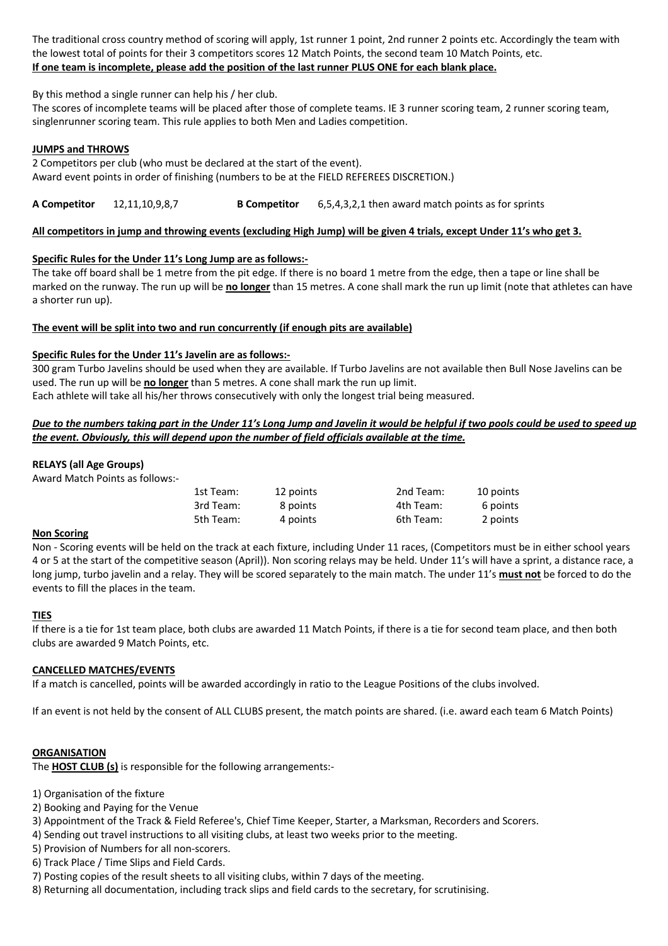The traditional cross country method of scoring will apply, 1st runner 1 point, 2nd runner 2 points etc. Accordingly the team with the lowest total of points for their 3 competitors scores 12 Match Points, the second team 10 Match Points, etc. **If one team is incomplete, please add the position of the last runner PLUS ONE for each blank place.**

By this method a single runner can help his / her club.

The scores of incomplete teams will be placed after those of complete teams. IE 3 runner scoring team, 2 runner scoring team, singlenrunner scoring team. This rule applies to both Men and Ladies competition.

## **JUMPS and THROWS**

2 Competitors per club (who must be declared at the start of the event). Award event points in order of finishing (numbers to be at the FIELD REFEREES DISCRETION.)

**A Competitor** 12,11,10,9,8,7 **B Competitor** 6,5,4,3,2,1 then award match points as for sprints

## **All competitors in jump and throwing events (excluding High Jump) will be given 4 trials, except Under 11's who get 3.**

## **Specific Rules for the Under 11's Long Jump are as follows:-**

The take off board shall be 1 metre from the pit edge. If there is no board 1 metre from the edge, then a tape or line shall be marked on the runway. The run up will be **no longer** than 15 metres. A cone shall mark the run up limit (note that athletes can have a shorter run up).

## **The event will be split into two and run concurrently (if enough pits are available)**

## **Specific Rules for the Under 11's Javelin are as follows:-**

300 gram Turbo Javelins should be used when they are available. If Turbo Javelins are not available then Bull Nose Javelins can be used. The run up will be **no longer** than 5 metres. A cone shall mark the run up limit. Each athlete will take all his/her throws consecutively with only the longest trial being measured.

## *Due to the numbers taking part in the Under 11's Long Jump and Javelin it would be helpful if two pools could be used to speed up the event. Obviously, this will depend upon the number of field officials available at the time.*

## **RELAYS (all Age Groups)**

Award Match Points as follows:-

| 1st Team: | 12 points | 2nd Team: | 10 points |
|-----------|-----------|-----------|-----------|
| 3rd Team: | 8 points  | 4th Team: | 6 points  |
| 5th Team: | 4 points  | 6th Team: | 2 points  |

### **Non Scoring**

Non - Scoring events will be held on the track at each fixture, including Under 11 races, (Competitors must be in either school years 4 or 5 at the start of the competitive season (April)). Non scoring relays may be held. Under 11's will have a sprint, a distance race, a long jump, turbo javelin and a relay. They will be scored separately to the main match. The under 11's **must not** be forced to do the events to fill the places in the team.

### **TIES**

If there is a tie for 1st team place, both clubs are awarded 11 Match Points, if there is a tie for second team place, and then both clubs are awarded 9 Match Points, etc.

### **CANCELLED MATCHES/EVENTS**

If a match is cancelled, points will be awarded accordingly in ratio to the League Positions of the clubs involved.

If an event is not held by the consent of ALL CLUBS present, the match points are shared. (i.e. award each team 6 Match Points)

### **ORGANISATION**

The **HOST CLUB (s)** is responsible for the following arrangements:-

- 1) Organisation of the fixture
- 2) Booking and Paying for the Venue
- 3) Appointment of the Track & Field Referee's, Chief Time Keeper, Starter, a Marksman, Recorders and Scorers.
- 4) Sending out travel instructions to all visiting clubs, at least two weeks prior to the meeting.
- 5) Provision of Numbers for all non-scorers.
- 6) Track Place / Time Slips and Field Cards.
- 7) Posting copies of the result sheets to all visiting clubs, within 7 days of the meeting.
- 8) Returning all documentation, including track slips and field cards to the secretary, for scrutinising.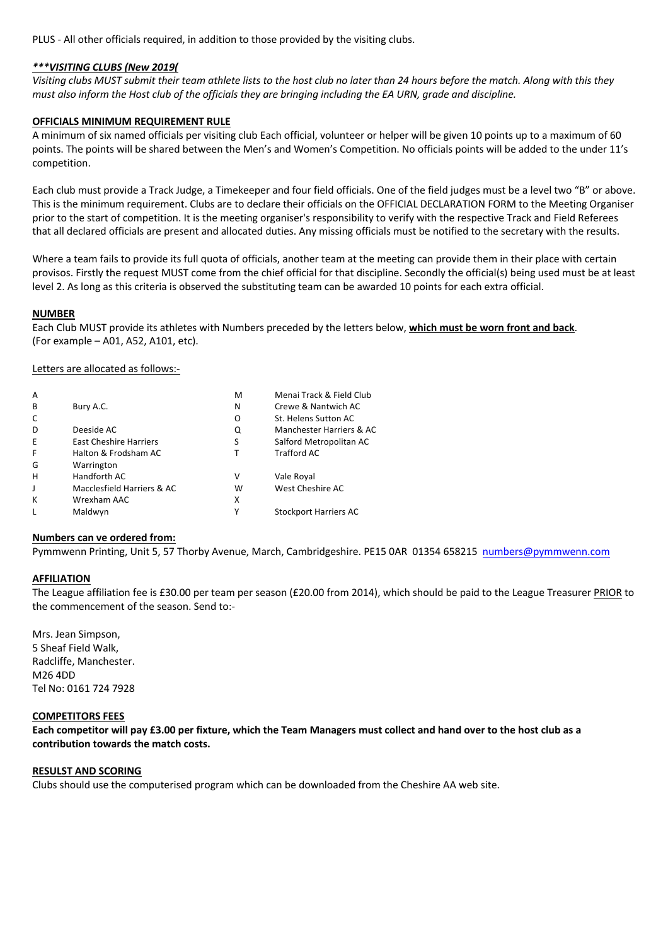PLUS - All other officials required, in addition to those provided by the visiting clubs.

### *\*\*\*VISITING CLUBS (New 2019(*

*Visiting clubs MUST submit their team athlete lists to the host club no later than 24 hours before the match. Along with this they must also inform the Host club of the officials they are bringing including the EA URN, grade and discipline.*

### **OFFICIALS MINIMUM REQUIREMENT RULE**

A minimum of six named officials per visiting club Each official, volunteer or helper will be given 10 points up to a maximum of 60 points. The points will be shared between the Men's and Women's Competition. No officials points will be added to the under 11's competition.

Each club must provide a Track Judge, a Timekeeper and four field officials. One of the field judges must be a level two "B" or above. This is the minimum requirement. Clubs are to declare their officials on the OFFICIAL DECLARATION FORM to the Meeting Organiser prior to the start of competition. It is the meeting organiser's responsibility to verify with the respective Track and Field Referees that all declared officials are present and allocated duties. Any missing officials must be notified to the secretary with the results.

Where a team fails to provide its full quota of officials, another team at the meeting can provide them in their place with certain provisos. Firstly the request MUST come from the chief official for that discipline. Secondly the official(s) being used must be at least level 2. As long as this criteria is observed the substituting team can be awarded 10 points for each extra official.

### **NUMBER**

Each Club MUST provide its athletes with Numbers preceded by the letters below, **which must be worn front and back**. (For example – A01, A52, A101, etc).

Letters are allocated as follows:-

| A |                               | M | Menai Track & Field Club     |
|---|-------------------------------|---|------------------------------|
| B | Bury A.C.                     | N | Crewe & Nantwich AC          |
| C |                               | O | St. Helens Sutton AC         |
| D | Deeside AC                    | Q | Manchester Harriers & AC     |
| E | <b>East Cheshire Harriers</b> | S | Salford Metropolitan AC      |
| F | Halton & Frodsham AC          |   | <b>Trafford AC</b>           |
| G | Warrington                    |   |                              |
| H | Handforth AC                  | v | Vale Royal                   |
| J | Macclesfield Harriers & AC    | w | West Cheshire AC             |
| К | Wrexham AAC                   | x |                              |
| L | Maldwyn                       | Υ | <b>Stockport Harriers AC</b> |
|   |                               |   |                              |

### **Numbers can ve ordered from:**

Pymmwenn Printing, Unit 5, 57 Thorby Avenue, March, Cambridgeshire. PE15 0AR 01354 658215 numbers@pymmwenn.com

### **AFFILIATION**

The League affiliation fee is £30.00 per team per season (£20.00 from 2014), which should be paid to the League Treasurer PRIOR to the commencement of the season. Send to:-

Mrs. Jean Simpson, 5 Sheaf Field Walk, Radcliffe, Manchester. M26 4DD Tel No: 0161 724 7928

### **COMPETITORS FEES**

**Each competitor will pay £3.00 per fixture, which the Team Managers must collect and hand over to the host club as a contribution towards the match costs.**

### **RESULST AND SCORING**

Clubs should use the computerised program which can be downloaded from the Cheshire AA web site.